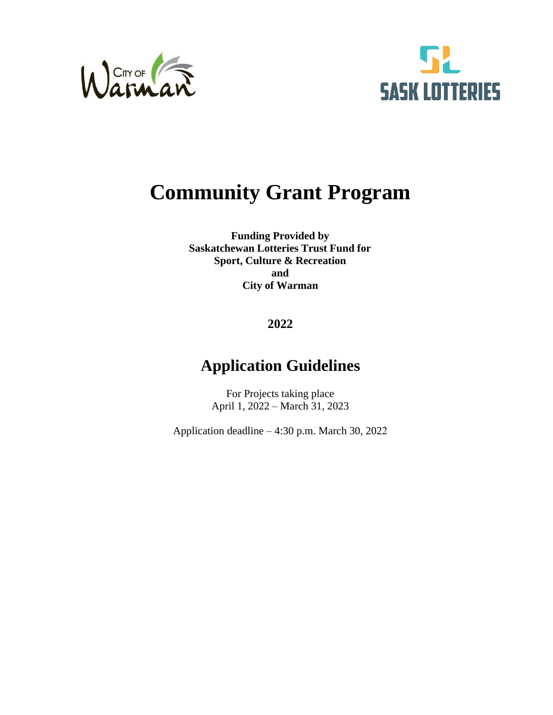



# **Community Grant Program**

**Funding Provided by Saskatchewan Lotteries Trust Fund for Sport, Culture & Recreation and City of Warman** 

# **2022**

# **Application Guidelines**

For Projects taking place April 1, 2022 – March 31, 2023

Application deadline – 4:30 p.m. March 30, 2022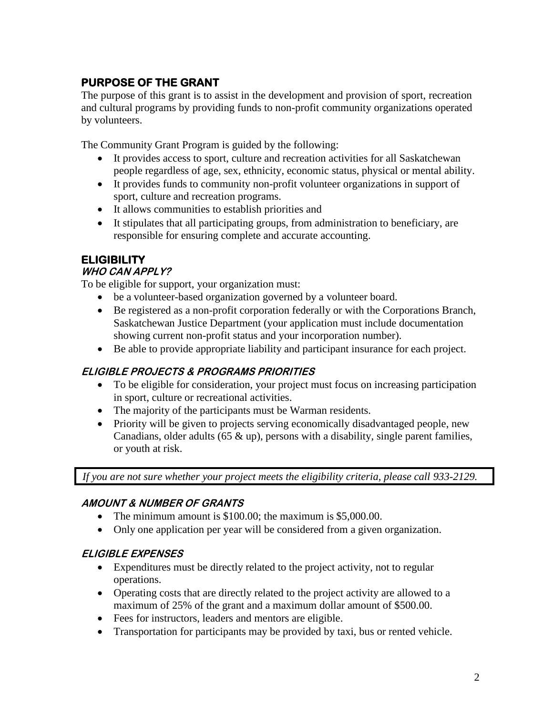# **PURPOSE OF THE GRANT**

The purpose of this grant is to assist in the development and provision of sport, recreation and cultural programs by providing funds to non-profit community organizations operated by volunteers.

The Community Grant Program is guided by the following:

- It provides access to sport, culture and recreation activities for all Saskatchewan people regardless of age, sex, ethnicity, economic status, physical or mental ability.
- It provides funds to community non-profit volunteer organizations in support of sport, culture and recreation programs.
- It allows communities to establish priorities and
- It stipulates that all participating groups, from administration to beneficiary, are responsible for ensuring complete and accurate accounting.

### **ELIGIBILITY**

#### **WHO CAN APPLY?**

To be eligible for support, your organization must:

- be a volunteer-based organization governed by a volunteer board.
- Be registered as a non-profit corporation federally or with the Corporations Branch, Saskatchewan Justice Department (your application must include documentation showing current non-profit status and your incorporation number).
- Be able to provide appropriate liability and participant insurance for each project.

#### **ELIGIBLE PROJECTS & PROGRAMS PRIORITIES**

- To be eligible for consideration, your project must focus on increasing participation in sport, culture or recreational activities.
- The majority of the participants must be Warman residents.
- Priority will be given to projects serving economically disadvantaged people, new Canadians, older adults (65 & up), persons with a disability, single parent families, or youth at risk.

*If you are not sure whether your project meets the eligibility criteria, please call 933-2129.*

#### **AMOUNT & NUMBER OF GRANTS**

- The minimum amount is \$100.00; the maximum is \$5,000.00.
- Only one application per year will be considered from a given organization.

#### **ELIGIBLE EXPENSES**

- Expenditures must be directly related to the project activity, not to regular operations.
- Operating costs that are directly related to the project activity are allowed to a maximum of 25% of the grant and a maximum dollar amount of \$500.00.
- Fees for instructors, leaders and mentors are eligible.
- Transportation for participants may be provided by taxi, bus or rented vehicle.